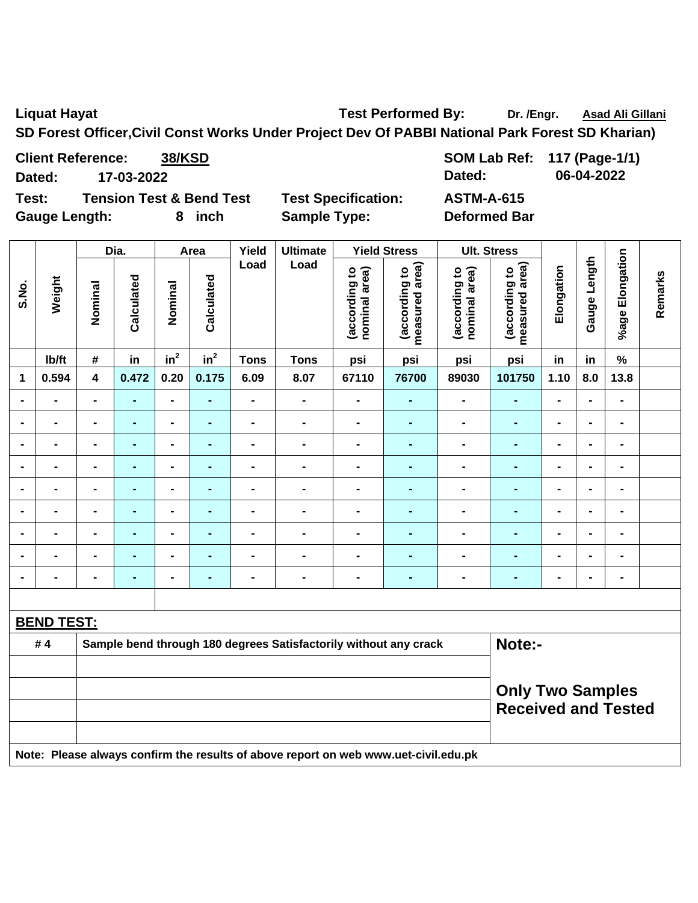Liquat Hayat **Test Performed By:** Dr. /Engr. Asad Ali Gillani Cali Association Dr. /Engr. Asad Ali Gillani

**SD Forest Officer,Civil Const Works Under Project Dev Of PABBI National Park Forest SD Kharian)** 

**Client Reference:** 38/KSD SOM Lab Ref: 117 (Page-1/1) **Dated: 17-03-2022 Dated: 06-04-2022** 

**Test: Tension Test & Bend Test Test Specification: ASTM-A-615**  Gauge Length: 8 inch Sample Type: Deformed Bar

|                | Weight            | Dia.           |                | Area            |                 | Yield          | <b>Ultimate</b>                                                                     |                                | <b>Yield Stress</b>             |                                | <b>Ult. Stress</b>              |                |                |                                                       |         |
|----------------|-------------------|----------------|----------------|-----------------|-----------------|----------------|-------------------------------------------------------------------------------------|--------------------------------|---------------------------------|--------------------------------|---------------------------------|----------------|----------------|-------------------------------------------------------|---------|
| S.No.          |                   | Nominal        | Calculated     | Nominal         | Calculated      | Load           | Load                                                                                | nominal area)<br>(according to | measured area)<br>(according to | nominal area)<br>(according to | measured area)<br>(according to | Elongation     | Gauge Length   | %age Elongation                                       | Remarks |
|                | lb/ft             | #              | in             | in <sup>2</sup> | in <sup>2</sup> | <b>Tons</b>    | <b>Tons</b>                                                                         | psi                            | psi                             | psi                            | psi                             | in             | in             | $\%$                                                  |         |
| 1              | 0.594             | 4              | 0.472          | 0.20            | 0.175           | 6.09           | 8.07                                                                                | 67110                          | 76700                           | 89030                          | 101750                          | 1.10           | 8.0            | 13.8                                                  |         |
|                |                   | $\blacksquare$ | $\blacksquare$ | $\blacksquare$  | L,              | $\blacksquare$ | $\qquad \qquad \blacksquare$                                                        | $\blacksquare$                 | $\blacksquare$                  | $\blacksquare$                 | $\blacksquare$                  | $\blacksquare$ | $\blacksquare$ | $\blacksquare$                                        |         |
|                |                   |                | $\blacksquare$ | $\blacksquare$  | $\blacksquare$  | $\overline{a}$ | $\blacksquare$                                                                      | $\blacksquare$                 | $\blacksquare$                  | $\overline{\phantom{a}}$       | $\blacksquare$                  | $\overline{a}$ |                | $\blacksquare$                                        |         |
|                |                   |                |                | $\blacksquare$  | $\blacksquare$  | $\blacksquare$ | $\blacksquare$                                                                      | $\blacksquare$                 |                                 | ÷                              | $\blacksquare$                  |                |                |                                                       |         |
| $\blacksquare$ |                   | $\blacksquare$ | $\blacksquare$ | Ξ.              |                 | $\blacksquare$ | $\blacksquare$                                                                      | $\blacksquare$                 | ÷,                              | ۰                              | ٠                               | $\blacksquare$ | $\blacksquare$ | $\blacksquare$                                        |         |
| $\blacksquare$ | $\blacksquare$    | $\blacksquare$ | $\blacksquare$ | $\blacksquare$  | $\blacksquare$  | $\blacksquare$ | $\blacksquare$                                                                      | $\blacksquare$                 | $\blacksquare$                  | ٠                              | $\blacksquare$                  | $\blacksquare$ | $\blacksquare$ | $\blacksquare$                                        |         |
| $\blacksquare$ | $\blacksquare$    | $\blacksquare$ | $\blacksquare$ | $\blacksquare$  | $\blacksquare$  | $\blacksquare$ | $\qquad \qquad \blacksquare$                                                        | $\frac{1}{2}$                  | $\blacksquare$                  | $\blacksquare$                 | $\blacksquare$                  | $\blacksquare$ | $\blacksquare$ | $\blacksquare$                                        |         |
| $\blacksquare$ | $\blacksquare$    | $\blacksquare$ | $\blacksquare$ | $\blacksquare$  | $\blacksquare$  | $\blacksquare$ | $\blacksquare$                                                                      | $\blacksquare$                 | $\blacksquare$                  | L.                             | ٠                               | $\blacksquare$ |                | $\blacksquare$                                        |         |
|                |                   | $\blacksquare$ | $\blacksquare$ | $\blacksquare$  |                 | $\blacksquare$ | $\blacksquare$                                                                      | $\blacksquare$                 | $\blacksquare$                  | ۰                              | ٠                               | $\blacksquare$ |                | $\blacksquare$                                        |         |
|                |                   | $\blacksquare$ | $\blacksquare$ | $\blacksquare$  | $\blacksquare$  | $\blacksquare$ | $\blacksquare$                                                                      | $\blacksquare$                 | $\blacksquare$                  | L.                             | ٠                               | $\blacksquare$ |                | $\blacksquare$                                        |         |
|                |                   |                |                |                 |                 |                |                                                                                     |                                |                                 |                                |                                 |                |                |                                                       |         |
|                | <b>BEND TEST:</b> |                |                |                 |                 |                |                                                                                     |                                |                                 |                                |                                 |                |                |                                                       |         |
|                | #4                |                |                |                 |                 |                | Sample bend through 180 degrees Satisfactorily without any crack                    |                                |                                 |                                | Note:-                          |                |                |                                                       |         |
|                |                   |                |                |                 |                 |                |                                                                                     |                                |                                 |                                |                                 |                |                |                                                       |         |
|                |                   |                |                |                 |                 |                |                                                                                     |                                |                                 |                                |                                 |                |                | <b>Only Two Samples</b><br><b>Received and Tested</b> |         |
|                |                   |                |                |                 |                 |                | Note: Please always confirm the results of above report on web www.uet-civil.edu.pk |                                |                                 |                                |                                 |                |                |                                                       |         |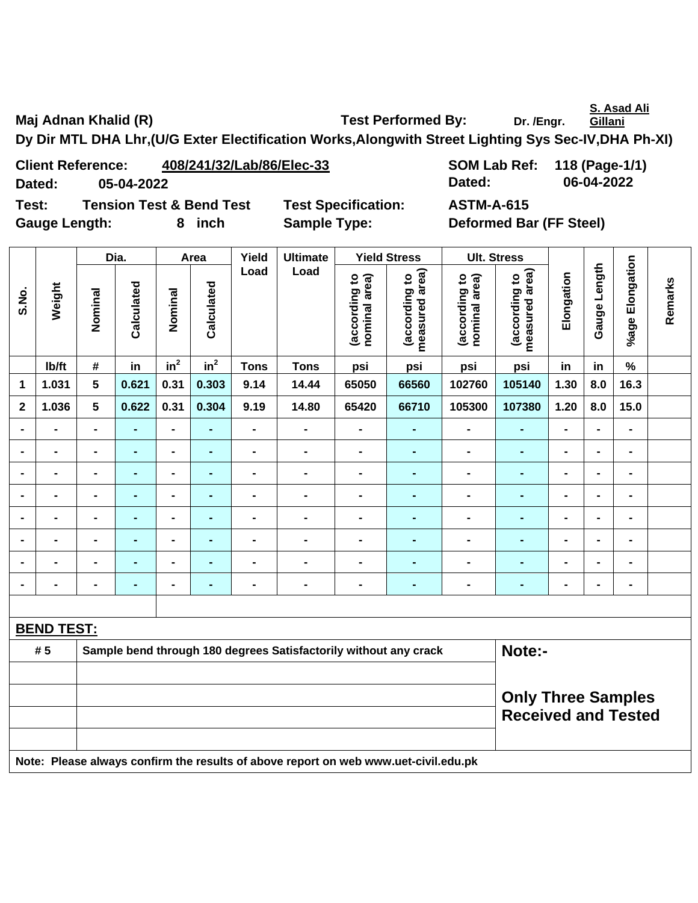**S. Asad Ali** 

Maj Adnan Khalid (R) **Test Performed By:** Dr. /Engr.

**Gillani**

**Dy Dir MTL DHA Lhr,(U/G Exter Electification Works,Alongwith Street Lighting Sys Sec-IV,DHA Ph-XI)** 

**Client Reference: 408/241/32/Lab/86/Elec-33 SOM Lab Ref: 118 (Page-1/1) Dated: 05-04-2022 Dated: 06-04-2022** 

**Test: Tension Test & Bend Test Test Specification: ASTM-A-615**  Gauge Length: **8** inch Sample Type: Deformed Bar (FF Steel)

|                |                   | Dia.           |                |                 | Area            |                | <b>Ultimate</b>                                                  |                                | <b>Yield Stress</b>             | <b>Ult. Stress</b>             |                                 |            |                |                 |         |
|----------------|-------------------|----------------|----------------|-----------------|-----------------|----------------|------------------------------------------------------------------|--------------------------------|---------------------------------|--------------------------------|---------------------------------|------------|----------------|-----------------|---------|
| S.No.          | Weight            | Nominal        | Calculated     | Nominal         | Calculated      | Load           | Load                                                             | (according to<br>nominal area) | measured area)<br>(according to | (according to<br>nominal area) | measured area)<br>(according to | Elongation | Gauge Length   | %age Elongation | Remarks |
|                | lb/ft             | #              | in             | in <sup>2</sup> | in <sup>2</sup> | <b>Tons</b>    | <b>Tons</b>                                                      | psi                            | psi                             | psi                            | psi                             | in         | in             | $\%$            |         |
| 1              | 1.031             | 5              | 0.621          | 0.31            | 0.303           | 9.14           | 14.44                                                            | 65050                          | 66560                           | 102760                         | 105140                          | 1.30       | 8.0            | 16.3            |         |
| $\mathbf{2}$   | 1.036             | 5              | 0.622          | 0.31            | 0.304           | 9.19           | 14.80                                                            | 65420                          | 66710                           | 105300                         | 107380                          | 1.20       | 8.0            | 15.0            |         |
| $\blacksquare$ |                   | $\blacksquare$ |                | ۰               | $\blacksquare$  |                | $\blacksquare$                                                   | $\blacksquare$                 | -                               | $\blacksquare$                 | ٠                               | -          | $\blacksquare$ | $\blacksquare$  |         |
| $\blacksquare$ | $\blacksquare$    | $\blacksquare$ | $\blacksquare$ | $\blacksquare$  | $\blacksquare$  | $\blacksquare$ | $\blacksquare$                                                   | $\blacksquare$                 | $\blacksquare$                  | $\blacksquare$                 | $\blacksquare$                  | -          | $\blacksquare$ | $\blacksquare$  |         |
| $\blacksquare$ | $\blacksquare$    | $\blacksquare$ | ۰              | -               | $\blacksquare$  | $\blacksquare$ | $\blacksquare$                                                   | $\blacksquare$                 | $\blacksquare$                  | $\blacksquare$                 | ٠                               | -          | $\blacksquare$ | $\blacksquare$  |         |
| $\blacksquare$ | $\blacksquare$    | $\blacksquare$ | $\blacksquare$ | $\blacksquare$  | $\blacksquare$  | $\blacksquare$ | $\qquad \qquad \blacksquare$                                     | $\blacksquare$                 | $\blacksquare$                  | $\blacksquare$                 | ۰                               | -          | $\blacksquare$ | $\blacksquare$  |         |
|                |                   | $\blacksquare$ |                |                 | $\blacksquare$  |                | $\blacksquare$                                                   | $\blacksquare$                 | $\blacksquare$                  | $\blacksquare$                 |                                 | -          | $\blacksquare$ | $\blacksquare$  |         |
| $\blacksquare$ |                   | $\blacksquare$ | $\blacksquare$ | $\blacksquare$  | $\blacksquare$  | $\blacksquare$ | $\blacksquare$                                                   | $\blacksquare$                 | $\blacksquare$                  | $\blacksquare$                 |                                 | -          | $\blacksquare$ | $\blacksquare$  |         |
| $\blacksquare$ | $\blacksquare$    | $\blacksquare$ | $\blacksquare$ | $\blacksquare$  | $\blacksquare$  | $\blacksquare$ | $\blacksquare$                                                   | $\blacksquare$                 | $\blacksquare$                  | $\blacksquare$                 | $\blacksquare$                  | -          | $\blacksquare$ | $\blacksquare$  |         |
| $\blacksquare$ | $\blacksquare$    | $\blacksquare$ | ۰              | Ξ.              | $\blacksquare$  | $\blacksquare$ | $\blacksquare$                                                   | -                              | $\blacksquare$                  | $\blacksquare$                 | $\blacksquare$                  | -          | $\blacksquare$ | $\blacksquare$  |         |
|                |                   |                |                |                 |                 |                |                                                                  |                                |                                 |                                |                                 |            |                |                 |         |
|                | <b>BEND TEST:</b> |                |                |                 |                 |                |                                                                  |                                |                                 |                                |                                 |            |                |                 |         |
|                | # 5               |                |                |                 |                 |                | Sample bend through 180 degrees Satisfactorily without any crack |                                |                                 |                                | Note:-                          |            |                |                 |         |
|                |                   |                |                |                 |                 |                |                                                                  |                                |                                 |                                |                                 |            |                |                 |         |
|                |                   |                |                |                 |                 |                |                                                                  |                                |                                 |                                | <b>Only Three Samples</b>       |            |                |                 |         |
|                |                   |                |                |                 |                 |                |                                                                  |                                |                                 |                                | <b>Received and Tested</b>      |            |                |                 |         |
|                |                   |                |                |                 |                 |                |                                                                  |                                |                                 |                                |                                 |            |                |                 |         |
|                |                   |                |                |                 |                 |                |                                                                  |                                |                                 |                                |                                 |            |                |                 |         |

**Note: Please always confirm the results of above report on web www.uet-civil.edu.pk**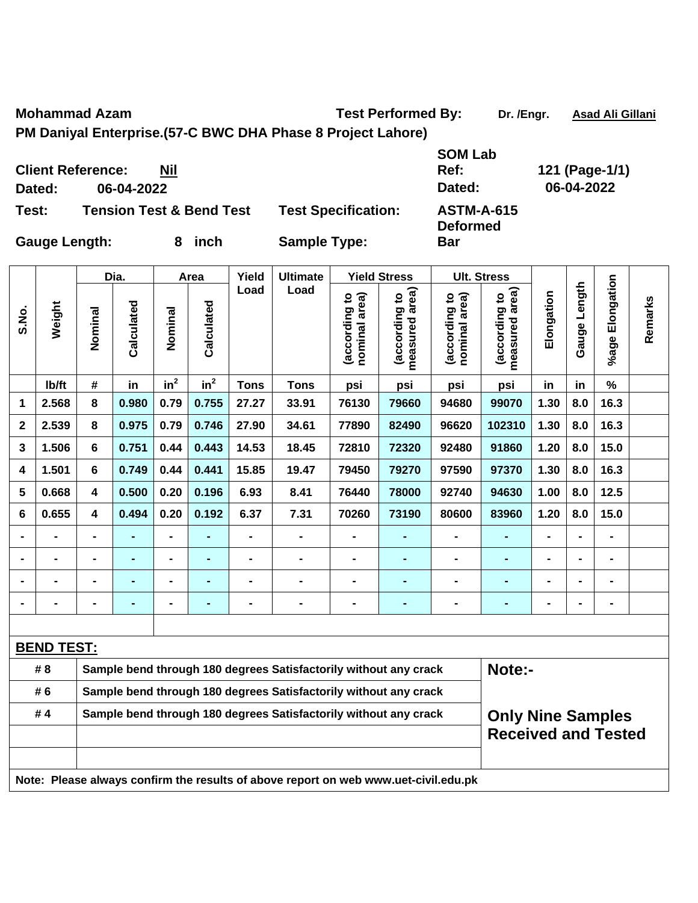Mohammad Azam **Mohammad Azam** Test Performed By: Dr. /Engr. Asad Ali Gillani

**PM Daniyal Enterprise.(57-C BWC DHA Phase 8 Project Lahore)** 

**Client Reference: Nil Dated: 06-04-2022 Dated: 06-04-2022 Test: Tension Test & Bend Test Test Specification: ASTM-A-615** 

**SOM Lab Ref: 121 (Page-1/1) Deformed** 

 $\overline{\phantom{a}}$ 

 $\blacksquare$ 

**Bar** 

 $\overline{\phantom{0}}$ 

 $\overline{\mathbf{r}}$ 

 $\overline{\phantom{a}}$ 

 $\top$ 

 $\top$ 

 $\top$ 

 $\top$ 

**Gauge Length: 8 inch Sample Type:** 

 $\mathbf{\mathsf{T}}$ 

|       |                                                                        |                                                | Dia.           |                 | Area                               |                                | <b>Ultimate</b>                                                                     | <b>Yield Stress</b> |                            |                 | <b>Ult. Stress</b>       |                |                |                |  |
|-------|------------------------------------------------------------------------|------------------------------------------------|----------------|-----------------|------------------------------------|--------------------------------|-------------------------------------------------------------------------------------|---------------------|----------------------------|-----------------|--------------------------|----------------|----------------|----------------|--|
| S.No. | Weight                                                                 | Calculated<br>Calculated<br>Nominal<br>Nominal | Load<br>Load   |                 | area)<br>(according to<br>measured | (according to<br>nominal area) | measured area)<br>(according to                                                     | Elongation          | Length<br>Gauge            | %age Elongation | Remarks                  |                |                |                |  |
|       | lb/ft                                                                  | #                                              | in             | in <sup>2</sup> | in <sup>2</sup>                    | <b>Tons</b>                    | <b>Tons</b>                                                                         | psi                 | psi                        | psi             | psi                      | in             | in             | %              |  |
| 1     | 2.568                                                                  | 8                                              | 0.980          | 0.79            | 0.755                              | 27.27                          | 33.91                                                                               | 76130               | 79660                      | 94680           | 99070                    | 1.30           | 8.0            | 16.3           |  |
| 2     | 2.539                                                                  | 8                                              | 0.975          | 0.79            | 0.746                              | 27.90                          | 34.61                                                                               | 77890               | 82490                      | 96620           | 102310                   | 1.30           | 8.0            | 16.3           |  |
| 3     | 1.506                                                                  | 6                                              | 0.751          | 0.44            | 0.443                              | 14.53                          | 18.45                                                                               | 72810               | 72320                      | 92480           | 91860                    | 1.20           | 8.0            | 15.0           |  |
| 4     | 1.501                                                                  | 6                                              | 0.749          | 0.44            | 0.441                              | 15.85                          | 19.47                                                                               | 79450               | 79270                      | 97590           | 97370                    | 1.30           | 8.0            | 16.3           |  |
| 5     | 0.668                                                                  | $\overline{\mathbf{4}}$                        | 0.500          | 0.20            | 0.196                              | 6.93                           | 8.41                                                                                | 76440               | 78000                      | 92740           | 94630                    | 1.00           | 8.0            | 12.5           |  |
| 6     | 0.655                                                                  | $\overline{\mathbf{4}}$                        | 0.494          | 0.20            | 0.192                              | 6.37                           | 7.31                                                                                | 70260               | 73190                      | 80600           | 83960                    | 1.20           | 8.0            | 15.0           |  |
|       |                                                                        |                                                |                |                 |                                    | $\blacksquare$                 |                                                                                     |                     |                            |                 |                          |                |                |                |  |
|       | -                                                                      | $\blacksquare$                                 | ÷,             | $\blacksquare$  | ÷                                  | -                              | $\blacksquare$                                                                      | $\blacksquare$      | ۰                          | $\blacksquare$  | $\blacksquare$           | $\blacksquare$ | $\blacksquare$ | $\blacksquare$ |  |
|       | $\overline{\phantom{0}}$                                               | $\blacksquare$                                 | $\blacksquare$ | $\blacksquare$  | ٠                                  | $\blacksquare$                 | $\blacksquare$                                                                      | $\blacksquare$      | $\blacksquare$             | $\blacksquare$  | $\blacksquare$           | $\blacksquare$ |                | $\blacksquare$ |  |
|       | $\blacksquare$                                                         | $\blacksquare$                                 | $\blacksquare$ | $\blacksquare$  | ۰                                  | $\qquad \qquad \blacksquare$   | $\blacksquare$                                                                      | $\blacksquare$      | ۰                          | $\blacksquare$  | $\blacksquare$           | $\blacksquare$ |                | $\blacksquare$ |  |
|       |                                                                        |                                                |                |                 |                                    |                                |                                                                                     |                     |                            |                 |                          |                |                |                |  |
|       | <b>BEND TEST:</b>                                                      |                                                |                |                 |                                    |                                |                                                                                     |                     |                            |                 |                          |                |                |                |  |
|       | # 8                                                                    |                                                |                |                 |                                    |                                | Sample bend through 180 degrees Satisfactorily without any crack                    |                     |                            |                 | Note:-                   |                |                |                |  |
|       | # 6                                                                    |                                                |                |                 |                                    |                                | Sample bend through 180 degrees Satisfactorily without any crack                    |                     |                            |                 |                          |                |                |                |  |
|       | #4<br>Sample bend through 180 degrees Satisfactorily without any crack |                                                |                |                 |                                    |                                |                                                                                     |                     |                            |                 | <b>Only Nine Samples</b> |                |                |                |  |
|       |                                                                        |                                                |                |                 |                                    |                                |                                                                                     |                     | <b>Received and Tested</b> |                 |                          |                |                |                |  |
|       |                                                                        |                                                |                |                 |                                    |                                | Note: Please always confirm the results of above report on web www.uet-civil.edu.pk |                     |                            |                 |                          |                |                |                |  |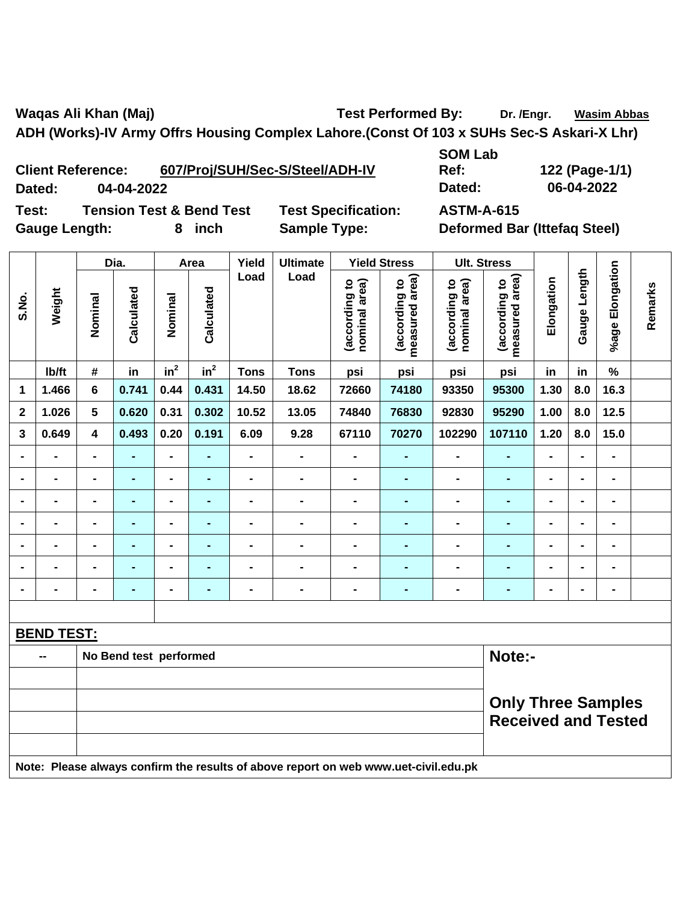Waqas Ali Khan (Maj) **Test Performed By:** Dr. /Engr. Wasim Abbas **ADH (Works)-IV Army Offrs Housing Complex Lahore.(Const Of 103 x SUHs Sec-S Askari-X Lhr)** 

**Client Reference: 607/Proj/SUH/Sec-S/Steel/ADH-IV Dated: 04-04-2022 Dated: 06-04-2022 Test: Tension Test & Bend Test Test Specification: ASTM-A-615** 

**SOM Lab Ref: 122 (Page-1/1)** 

Gauge Length: 8 inch Sample Type: Deformed Bar (Ittefaq Steel)

|                | Weight            | Dia.                         |                        | Area                     |                 | Yield                    | <b>Ultimate</b>                                                                     |                                | <b>Yield Stress</b>                |                                | <b>Ult. Stress</b>              |                |                |                              |         |
|----------------|-------------------|------------------------------|------------------------|--------------------------|-----------------|--------------------------|-------------------------------------------------------------------------------------|--------------------------------|------------------------------------|--------------------------------|---------------------------------|----------------|----------------|------------------------------|---------|
| S.No.          |                   | Nominal                      | Calculated             | Nominal                  | Calculated      | Load                     | Load                                                                                | (according to<br>nominal area) | area)<br>(according to<br>measured | (according to<br>nominal area) | measured area)<br>(according to | Elongation     | Gauge Length   | %age Elongation              | Remarks |
|                | Ib/ft             | #                            | in                     | in <sup>2</sup>          | $\mathsf{in}^2$ | <b>Tons</b>              | <b>Tons</b>                                                                         | psi                            | psi                                | psi                            | psi                             | in             | in             | $\%$                         |         |
| 1              | 1.466             | 6                            | 0.741                  | 0.44                     | 0.431           | 14.50                    | 18.62                                                                               | 72660                          | 74180                              | 93350                          | 95300                           | 1.30           | 8.0            | 16.3                         |         |
| $\mathbf 2$    | 1.026             | 5                            | 0.620                  | 0.31                     | 0.302           | 10.52                    | 13.05                                                                               | 74840                          | 76830                              | 92830                          | 95290                           | 1.00           | 8.0            | 12.5                         |         |
| 3              | 0.649             | $\overline{\mathbf{4}}$      | 0.493                  | 0.20                     | 0.191           | 6.09                     | 9.28                                                                                | 67110                          | 70270                              | 102290                         | 107110                          | 1.20           | 8.0            | 15.0                         |         |
| $\blacksquare$ |                   | $\blacksquare$               | $\blacksquare$         | $\overline{\phantom{a}}$ | ä,              | $\blacksquare$           | $\blacksquare$                                                                      | $\blacksquare$                 | $\blacksquare$                     | $\blacksquare$                 | $\blacksquare$                  | $\overline{a}$ | $\overline{a}$ | $\overline{\phantom{0}}$     |         |
|                |                   | $\qquad \qquad \blacksquare$ | $\blacksquare$         | $\blacksquare$           | ÷,              | $\overline{\phantom{0}}$ | L,                                                                                  | $\blacksquare$                 | $\blacksquare$                     | $\blacksquare$                 | ÷,                              | $\blacksquare$ | $\blacksquare$ | $\blacksquare$               |         |
|                |                   | $\blacksquare$               | $\blacksquare$         | $\blacksquare$           | $\blacksquare$  |                          | $\blacksquare$                                                                      | $\blacksquare$                 | $\blacksquare$                     | $\blacksquare$                 | ÷,                              | $\blacksquare$ | $\blacksquare$ | $\blacksquare$               |         |
|                |                   | $\blacksquare$               | $\blacksquare$         | $\blacksquare$           | $\blacksquare$  | $\blacksquare$           | $\blacksquare$                                                                      |                                |                                    |                                | $\blacksquare$                  | $\blacksquare$ | $\blacksquare$ | $\blacksquare$               |         |
|                |                   | $\blacksquare$               | -                      | $\blacksquare$           | ÷,              | $\blacksquare$           | $\blacksquare$                                                                      | $\blacksquare$                 | $\blacksquare$                     | $\blacksquare$                 | $\blacksquare$                  | $\blacksquare$ | -              | $\blacksquare$               |         |
|                |                   | $\blacksquare$               | $\blacksquare$         | $\blacksquare$           | $\blacksquare$  | $\blacksquare$           | $\blacksquare$                                                                      | $\blacksquare$                 | $\blacksquare$                     | $\blacksquare$                 | $\blacksquare$                  | $\blacksquare$ | $\blacksquare$ | $\qquad \qquad \blacksquare$ |         |
|                |                   | $\blacksquare$               | $\blacksquare$         | $\blacksquare$           | ÷,              | $\blacksquare$           | $\blacksquare$                                                                      | $\blacksquare$                 | $\blacksquare$                     | $\blacksquare$                 | $\blacksquare$                  | $\blacksquare$ | $\blacksquare$ | $\overline{\phantom{0}}$     |         |
|                |                   |                              |                        |                          |                 |                          |                                                                                     |                                |                                    |                                |                                 |                |                |                              |         |
|                | <b>BEND TEST:</b> |                              |                        |                          |                 |                          |                                                                                     |                                |                                    |                                |                                 |                |                |                              |         |
|                |                   |                              | No Bend test performed |                          |                 |                          |                                                                                     |                                |                                    |                                | Note:-                          |                |                |                              |         |
|                |                   |                              |                        |                          |                 |                          |                                                                                     |                                |                                    |                                |                                 |                |                |                              |         |
|                |                   |                              |                        |                          |                 |                          |                                                                                     |                                |                                    |                                |                                 |                |                | <b>Only Three Samples</b>    |         |
|                |                   |                              |                        |                          |                 |                          |                                                                                     |                                |                                    |                                | <b>Received and Tested</b>      |                |                |                              |         |
|                |                   |                              |                        |                          |                 |                          |                                                                                     |                                |                                    |                                |                                 |                |                |                              |         |
|                |                   |                              |                        |                          |                 |                          | Note: Please always confirm the results of above report on web www.uet-civil.edu.pk |                                |                                    |                                |                                 |                |                |                              |         |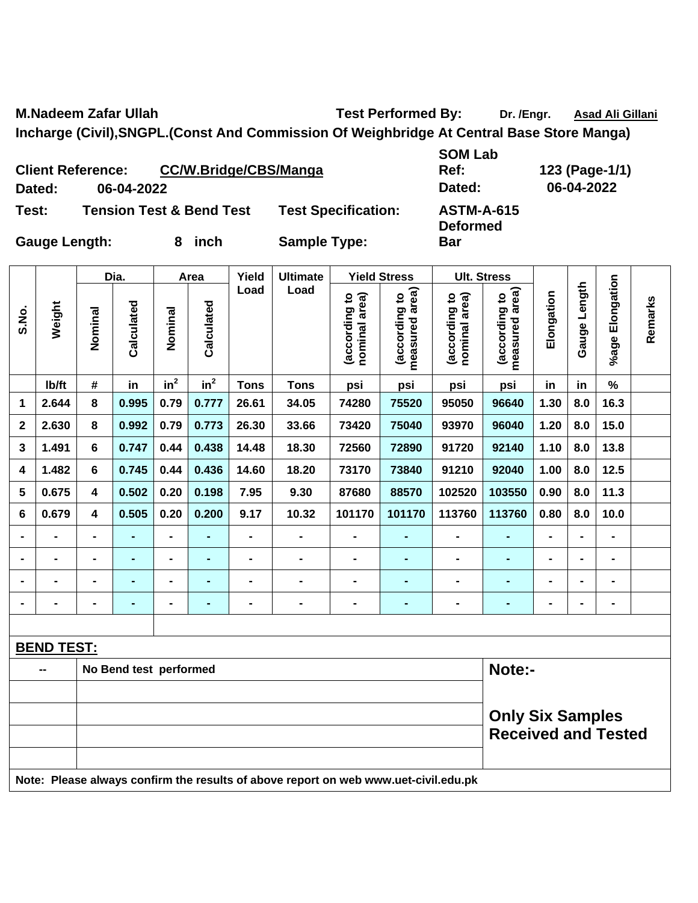**M.Nadeem Zafar Ullah Test Performed By:** Dr. /Engr. Asad Ali Gillani

**Bar** 

**Incharge (Civil),SNGPL.(Const And Commission Of Weighbridge At Central Base Store Manga)** 

**Client Reference: CC/W.Bridge/CBS/Manga Dated: 06-04-2022 Dated: 06-04-2022 Test: Tension Test & Bend Test Test Specification: ASTM-A-615** 

**SOM Lab Ref: 123 (Page-1/1) Deformed** 

Τ

Т

Τ

 $\mathbf{I}$ 

Gauge Length: 8 inch Sample Type:

Τ

Τ

|                | No Bend test performed<br>$\blacksquare$ |                         |            |                 |                    |                |                 |                                |                                    |                                | Note:-                                                |                |                 |                       |         |
|----------------|------------------------------------------|-------------------------|------------|-----------------|--------------------|----------------|-----------------|--------------------------------|------------------------------------|--------------------------------|-------------------------------------------------------|----------------|-----------------|-----------------------|---------|
|                | <b>BEND TEST:</b>                        |                         |            |                 |                    |                |                 |                                |                                    |                                |                                                       |                |                 |                       |         |
|                |                                          |                         |            |                 |                    |                |                 |                                |                                    |                                |                                                       |                |                 |                       |         |
| $\blacksquare$ |                                          | $\blacksquare$          |            | ۰               | ۰                  | $\blacksquare$ |                 | $\blacksquare$                 | $\blacksquare$                     | $\blacksquare$                 | ۰                                                     | -              | $\blacksquare$  | $\blacksquare$        |         |
| $\blacksquare$ |                                          | $\blacksquare$          |            | ۰               | ۰                  |                |                 | $\blacksquare$                 |                                    | $\blacksquare$                 |                                                       | $\blacksquare$ | $\blacksquare$  | $\blacksquare$        |         |
| $\blacksquare$ |                                          | -                       |            | ۰.              | $\blacksquare$     |                |                 |                                |                                    | -                              |                                                       | -              | $\blacksquare$  | $\blacksquare$        |         |
|                |                                          | $\blacksquare$          |            | ۰               |                    |                |                 | $\blacksquare$                 |                                    | $\blacksquare$                 |                                                       | $\blacksquare$ | $\blacksquare$  | $\blacksquare$        |         |
| 6              | 0.679                                    | $\overline{\mathbf{4}}$ | 0.505      | 0.20            | 0.200              | 9.17           | 10.32           | 101170                         | 101170                             | 113760                         | 113760                                                | 0.80           | 8.0             | 10.0                  |         |
| 5              | 0.675                                    | 4                       | 0.502      | 0.20            | 0.198              | 7.95           | 9.30            | 87680                          | 88570                              | 102520                         | 103550                                                | 0.90           | 8.0             | 11.3                  |         |
| 4              | 1.482                                    | 6                       | 0.745      | 0.44            | 0.436              | 14.60          | 18.20           | 73170                          | 73840                              | 91210                          | 92040                                                 | 1.00           | 8.0             | $12.5$                |         |
| 3              | 1.491                                    | 6                       | 0.747      | 0.44            | 0.438              | 14.48          | 18.30           | 72560                          | 72890                              | 91720                          | 92140                                                 | 1.10           | 8.0             | 13.8                  |         |
| $\mathbf{2}$   | 2.630                                    | 8                       | 0.992      | 0.79            | 0.773              | 26.30          | 33.66           | 73420                          | 75040                              | 93970                          | 96040                                                 | 1.20           | 8.0             | 15.0                  |         |
| 1              | 2.644                                    | 8                       | 0.995      | 0.79            | 0.777              | 26.61          | 34.05           | 74280                          | 75520                              | 95050                          | 96640                                                 | 1.30           | 8.0             | 16.3                  |         |
|                | lb/ft                                    | $\#$                    | in         | in <sup>2</sup> | in <sup>2</sup>    | <b>Tons</b>    | <b>Tons</b>     | psi                            | psi                                | psi                            | psi                                                   | in             | in              | $\%$                  |         |
| S.N.           | Weight                                   | Nominal                 | Calculated | Nominal         | Area<br>Calculated | Yield<br>Load  | Load            | nominal area)<br>(according to | area)<br>(according to<br>measured | nominal area)<br>(according to | <b>Ult. Stress</b><br>measured area)<br>(according to | Elongation     | Length<br>Gauge | Elongation<br>$%$ age | Remarks |
|                | Dia.                                     |                         |            |                 |                    |                | <b>Ultimate</b> | <b>Yield Stress</b>            |                                    |                                |                                                       |                |                 |                       |         |

| -- | No Bend test performed                                                              | Note:-                     |
|----|-------------------------------------------------------------------------------------|----------------------------|
|    |                                                                                     |                            |
|    |                                                                                     | <b>Only Six Samples</b>    |
|    |                                                                                     | <b>Received and Tested</b> |
|    |                                                                                     |                            |
|    | Note: Please always confirm the results of above report on web www.uet-civil.edu.pk |                            |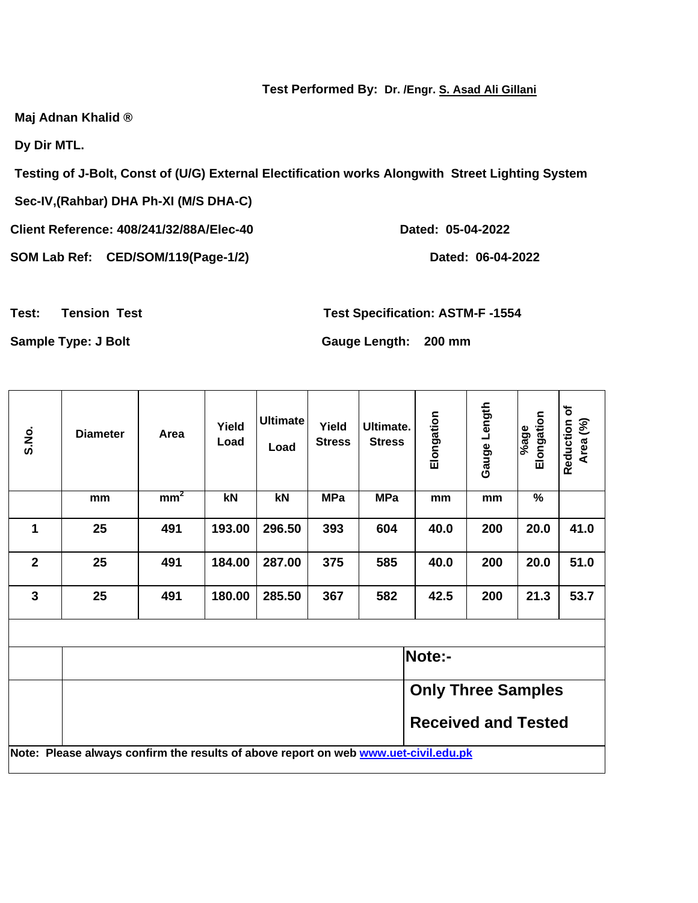## **Test Performed By: Dr. /Engr. S. Asad Ali Gillani**

**Maj Adnan Khalid ®** 

**Dy Dir MTL.** 

**Testing of J-Bolt, Const of (U/G) External Electification works Alongwith Street Lighting System** 

**Sec-IV,(Rahbar) DHA Ph-XI (M/S DHA-C)** 

**Client Reference: 408/241/32/88A/Elec-40 Dated: 05-04-2022** 

SOM Lab Ref: CED/SOM/119(Page-1/2) Dated: 06-04-2022

**Test: Tension Test Test Specification: ASTM-F -1554** 

**Sample Type: J Bolt Gauge Length: 200 mm** 

| S.No.                   | <b>Diameter</b>                                                                            | Area            | Yield<br>Load | <b>Ultimate</b><br>Load | Yield<br><b>Stress</b> | Ultimate.<br><b>Stress</b> | Elongation                 | Gauge Length | Elongation<br>%age | Reduction of<br>Area (%) |
|-------------------------|--------------------------------------------------------------------------------------------|-----------------|---------------|-------------------------|------------------------|----------------------------|----------------------------|--------------|--------------------|--------------------------|
|                         | mm                                                                                         | mm <sup>2</sup> | kN            | kN                      | <b>MPa</b>             | <b>MPa</b>                 | mm                         | mm           | $\%$               |                          |
| 1                       | 25                                                                                         | 491             | 193.00        | 296.50                  | 393                    | 604                        | 40.0                       | 200          | 20.0               | 41.0                     |
| $\overline{\mathbf{2}}$ | 25                                                                                         | 491             | 184.00        | 287.00                  | 375                    | 585                        | 40.0                       | 200          | 20.0               | 51.0                     |
| $\overline{3}$          | 25                                                                                         | 491             | 180.00        | 285.50                  | 367                    | 582                        | 42.5                       | 200          | 21.3               | 53.7                     |
|                         |                                                                                            |                 |               |                         |                        |                            |                            |              |                    |                          |
|                         |                                                                                            |                 |               |                         |                        |                            | Note:-                     |              |                    |                          |
|                         |                                                                                            |                 |               |                         |                        |                            | <b>Only Three Samples</b>  |              |                    |                          |
|                         |                                                                                            |                 |               |                         |                        |                            | <b>Received and Tested</b> |              |                    |                          |
|                         | Note: Please always confirm the results of above report on web <b>www.uet-civil.edu.pk</b> |                 |               |                         |                        |                            |                            |              |                    |                          |